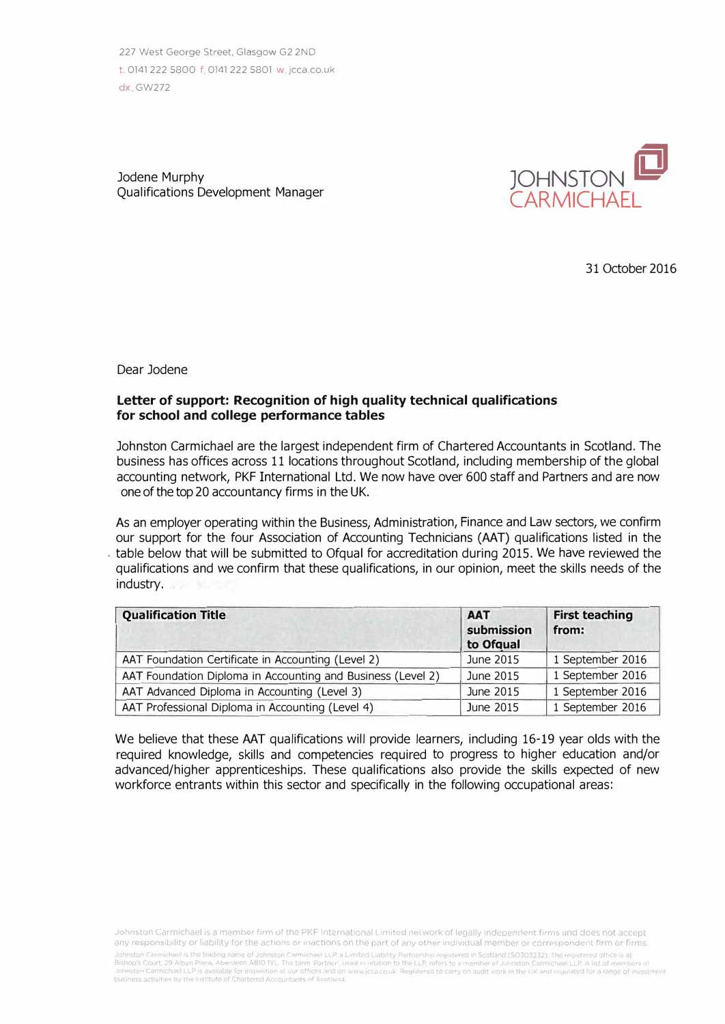227 West George Street, Glasgow G2 2ND t 0141 222 5800 f 0141 222 5801 w jcca.co.uk dx GW272

Jodene Murphy Qualifications Development Manager



31 October 2016

Dear Jodene

## **Letter of support: Recognition of high quality technical qualifications for school and college performance tables**

Johnston Carmichael are the largest independent firm of Chartered Accountants in Scotland. The business has offices across 11 locations throughout Scotland, including membership of the global accounting network, PKF International Ltd. We now have over 600 staff and Partners and are now one of the top 20 accountancy firms in the UK.

As an employer operating within the Business, Administration, Finance and Law sectors, we confirm our support for the four Association of Accounting Technicians (AAT) qualifications listed in the table below that will be submitted to Ofqual for accreditation during 2015. We have reviewed the qualifications and we confirm that these qualifications, in our opinion, meet the skills needs of the industry.

| <b>Qualification Title</b>                                  | <b>AAT</b><br>submission<br>to Ofqual | <b>First teaching</b><br>from: |
|-------------------------------------------------------------|---------------------------------------|--------------------------------|
| AAT Foundation Certificate in Accounting (Level 2)          | June 2015                             | 1 September 2016               |
| AAT Foundation Diploma in Accounting and Business (Level 2) | June 2015                             | 1 September 2016               |
| AAT Advanced Diploma in Accounting (Level 3)                | June 2015                             | 1 September 2016               |
| AAT Professional Diploma in Accounting (Level 4)            | June 2015                             | 1 September 2016               |

We believe that these AAT qualifications will provide learners, including 16-19 year olds with the required knowledge, skills and competencies required to progress to higher education and/or advanced/higher apprenticeships. These qualifications also provide the skills expected of new workforce entrants within this sector and specifically in the following occupational areas:

Johnston Carmichael is a member firm of the PKF International Limited network of legally independent firms and does not accept any responsibility or liability for the actions or inactions on the part of any other individual member or correspondent firm or firms.

Johnston Carmichael is the trading name of Johnston Carmichael LLP. a Limited Liability Partnership registered in Scotland (SO303232). The registered office is at<br>Bishop's Court, 29 Albyn Place, Aberdeen AB10 IYL. The term business activities by the Institute of Chartered Accountants of Scotland